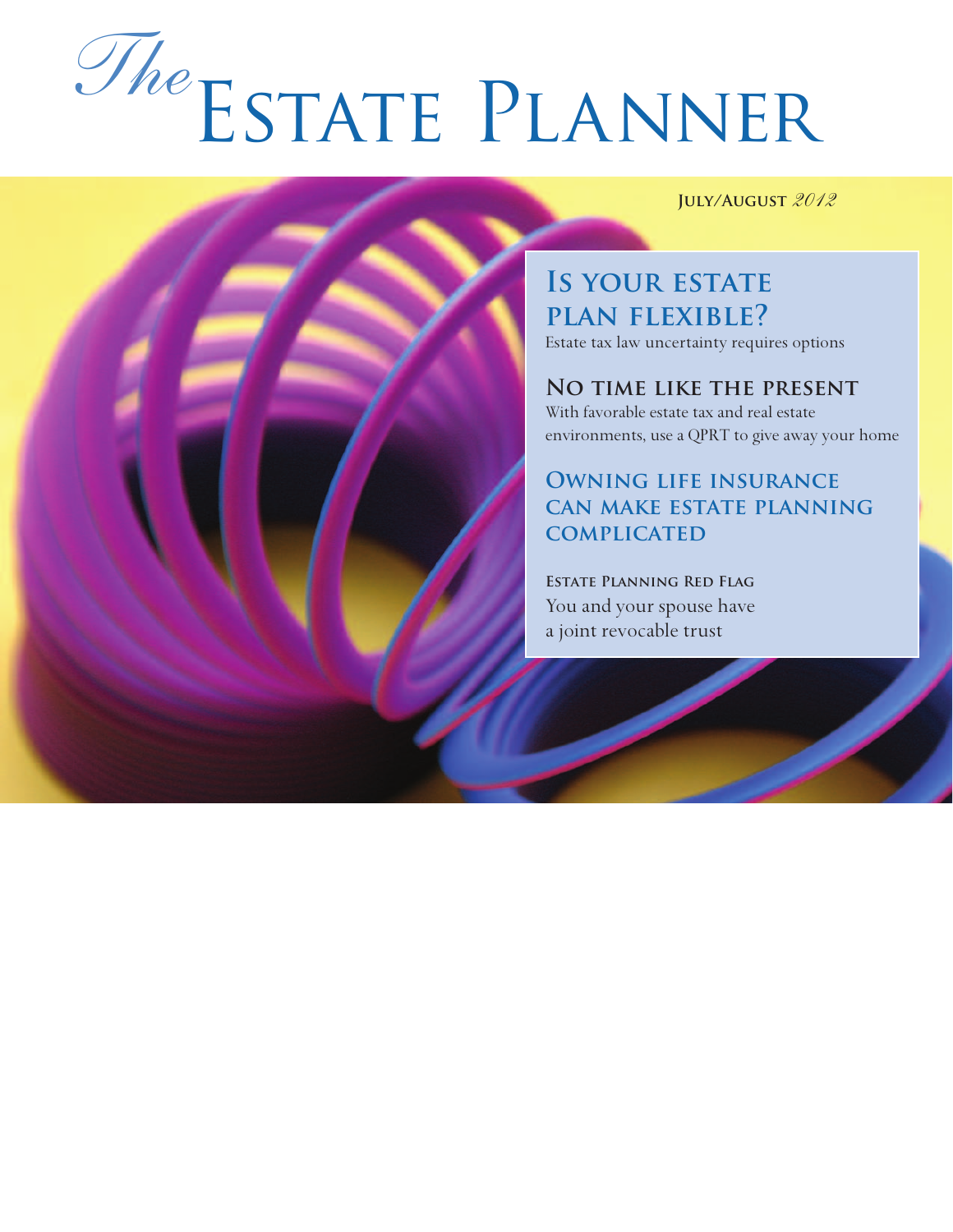# Estate Planner *The*

**July/August** *2012*

**IS YOUR ESTATE plan flexible?** Estate tax law uncertainty requires options

**No time like the present**  With favorable estate tax and real estate environments, use a QPRT to give away your home

**Owning life insurance can make estate planning complicated**

**Estate Planning Red Flag** You and your spouse have a joint revocable trust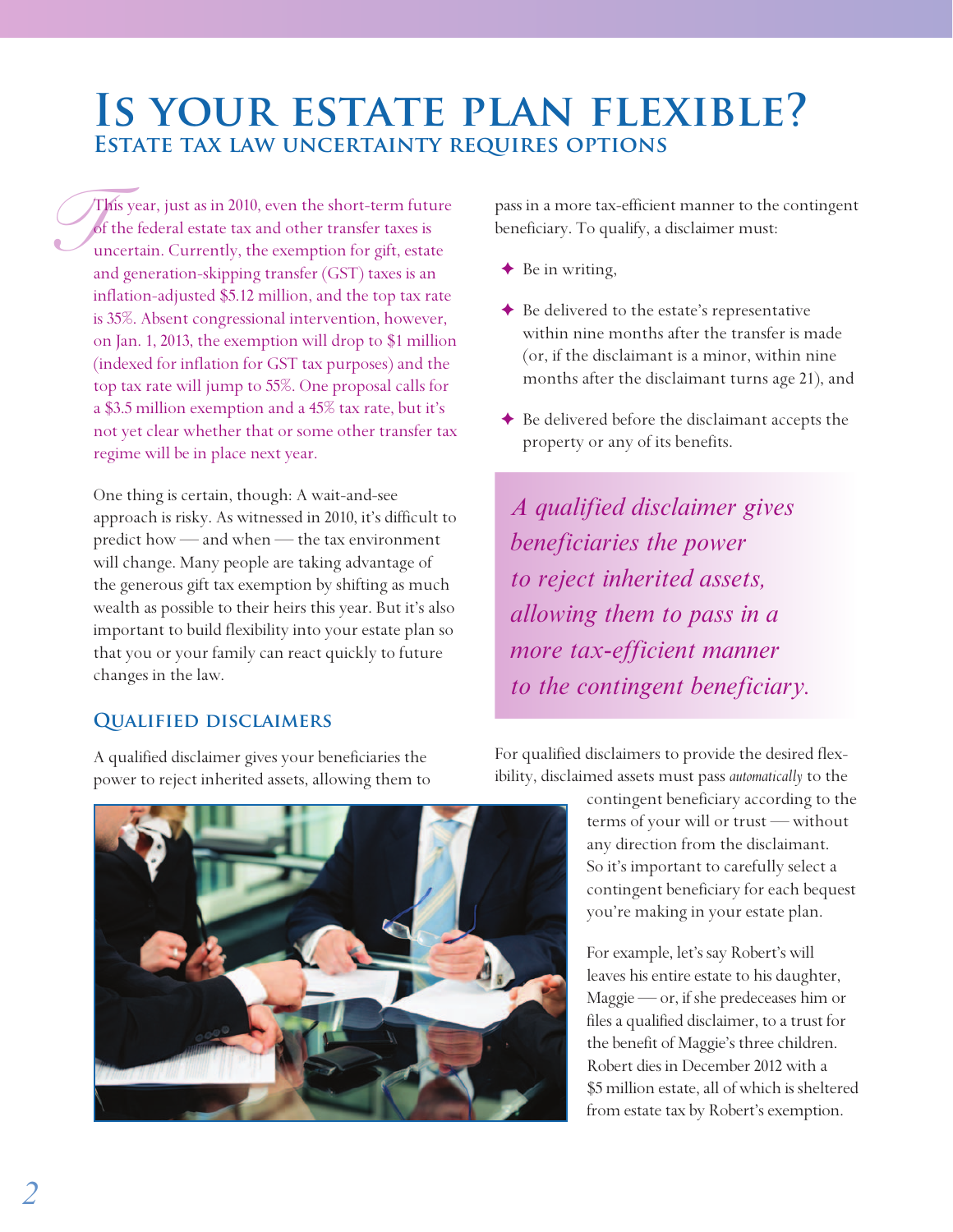# **Is your estate plan flexible? Estate tax law uncertainty requires options**

*J*<sup>T</sup><br>*J*<br>an This year, just as in 2010, even the short-term future of the federal estate tax and other transfer taxes is uncertain. Currently, the exemption for gift, estate and generation-skipping transfer (GST) taxes is an inflation-adjusted \$5.12 million, and the top tax rate is 35%. Absent congressional intervention, however, on Jan. 1, 2013, the exemption will drop to \$1 million (indexed for inflation for GST tax purposes) and the top tax rate will jump to 55%. One proposal calls for a \$3.5 million exemption and a 45% tax rate, but it's not yet clear whether that or some other transfer tax regime will be in place next year.

One thing is certain, though: A wait-and-see approach is risky. As witnessed in 2010, it's difficult to predict how — and when — the tax environment will change. Many people are taking advantage of the generous gift tax exemption by shifting as much wealth as possible to their heirs this year. But it's also important to build flexibility into your estate plan so that you or your family can react quickly to future changes in the law.

#### **Qualified disclaimers**

A qualified disclaimer gives your beneficiaries the power to reject inherited assets, allowing them to pass in a more tax-efficient manner to the contingent beneficiary. To qualify, a disclaimer must:

- $\triangleleft$  Be in writing,
- ✦ Be delivered to the estate's representative within nine months after the transfer is made (or, if the disclaimant is a minor, within nine months after the disclaimant turns age 21), and
- ✦ Be delivered before the disclaimant accepts the property or any of its benefits.

*A qualified disclaimer gives beneficiaries the power to reject inherited assets, allowing them to pass in a more tax-efficient manner to the contingent beneficiary.*

For qualified disclaimers to provide the desired flexibility, disclaimed assets must pass *automatically* to the

> contingent beneficiary according to the terms of your will or trust — without any direction from the disclaimant. So it's important to carefully select a contingent beneficiary for each bequest you're making in your estate plan.

> For example, let's say Robert's will leaves his entire estate to his daughter, Maggie — or, if she predeceases him or files a qualified disclaimer, to a trust for the benefit of Maggie's three children. Robert dies in December 2012 with a \$5 million estate, all of which is sheltered from estate tax by Robert's exemption.

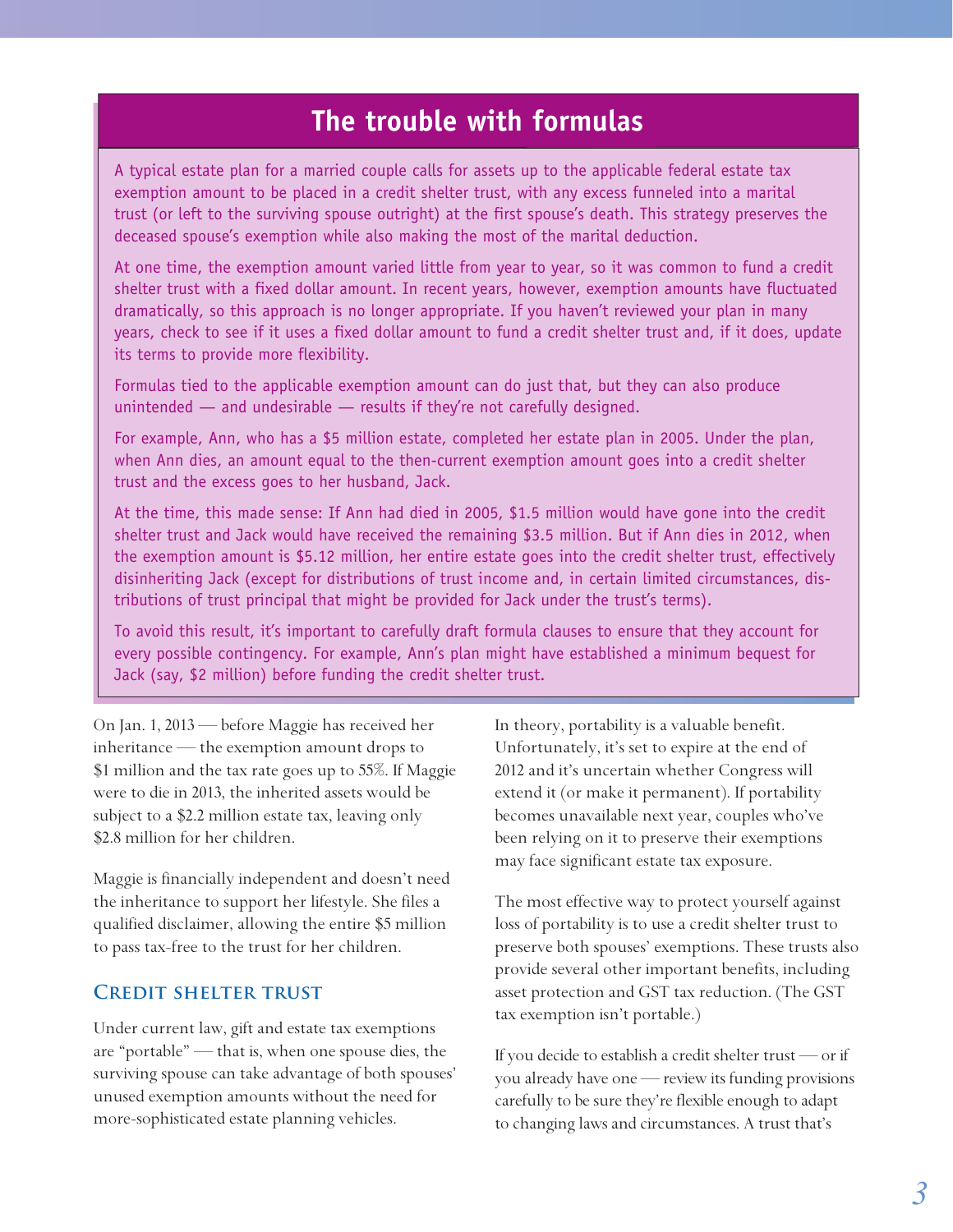## **The trouble with formulas**

A typical estate plan for a married couple calls for assets up to the applicable federal estate tax exemption amount to be placed in a credit shelter trust, with any excess funneled into a marital trust (or left to the surviving spouse outright) at the first spouse's death. This strategy preserves the deceased spouse's exemption while also making the most of the marital deduction.

At one time, the exemption amount varied little from year to year, so it was common to fund a credit shelter trust with a fixed dollar amount. In recent years, however, exemption amounts have fluctuated dramatically, so this approach is no longer appropriate. If you haven't reviewed your plan in many years, check to see if it uses a fixed dollar amount to fund a credit shelter trust and, if it does, update its terms to provide more flexibility.

Formulas tied to the applicable exemption amount can do just that, but they can also produce unintended — and undesirable — results if they're not carefully designed.

For example, Ann, who has a \$5 million estate, completed her estate plan in 2005. Under the plan, when Ann dies, an amount equal to the then-current exemption amount goes into a credit shelter trust and the excess goes to her husband, Jack.

At the time, this made sense: If Ann had died in 2005, \$1.5 million would have gone into the credit shelter trust and Jack would have received the remaining \$3.5 million. But if Ann dies in 2012, when the exemption amount is \$5.12 million, her entire estate goes into the credit shelter trust, effectively disinheriting Jack (except for distributions of trust income and, in certain limited circumstances, distributions of trust principal that might be provided for Jack under the trust's terms).

To avoid this result, it's important to carefully draft formula clauses to ensure that they account for every possible contingency. For example, Ann's plan might have established a minimum bequest for Jack (say, \$2 million) before funding the credit shelter trust.

On Jan. 1, 2013 — before Maggie has received her inheritance — the exemption amount drops to \$1 million and the tax rate goes up to 55%. If Maggie were to die in 2013, the inherited assets would be subject to a \$2.2 million estate tax, leaving only \$2.8 million for her children.

Maggie is financially independent and doesn't need the inheritance to support her lifestyle. She files a qualified disclaimer, allowing the entire \$5 million to pass tax-free to the trust for her children.

#### **Credit shelter trust**

Under current law, gift and estate tax exemptions are "portable" — that is, when one spouse dies, the surviving spouse can take advantage of both spouses' unused exemption amounts without the need for more-sophisticated estate planning vehicles.

In theory, portability is a valuable benefit. Unfortunately, it's set to expire at the end of 2012 and it's uncertain whether Congress will extend it (or make it permanent). If portability becomes unavailable next year, couples who've been relying on it to preserve their exemptions may face significant estate tax exposure.

The most effective way to protect yourself against loss of portability is to use a credit shelter trust to preserve both spouses' exemptions. These trusts also provide several other important benefits, including asset protection and GST tax reduction. (The GST tax exemption isn't portable.)

If you decide to establish a credit shelter trust — or if you already have one — review its funding provisions carefully to be sure they're flexible enough to adapt to changing laws and circumstances. A trust that's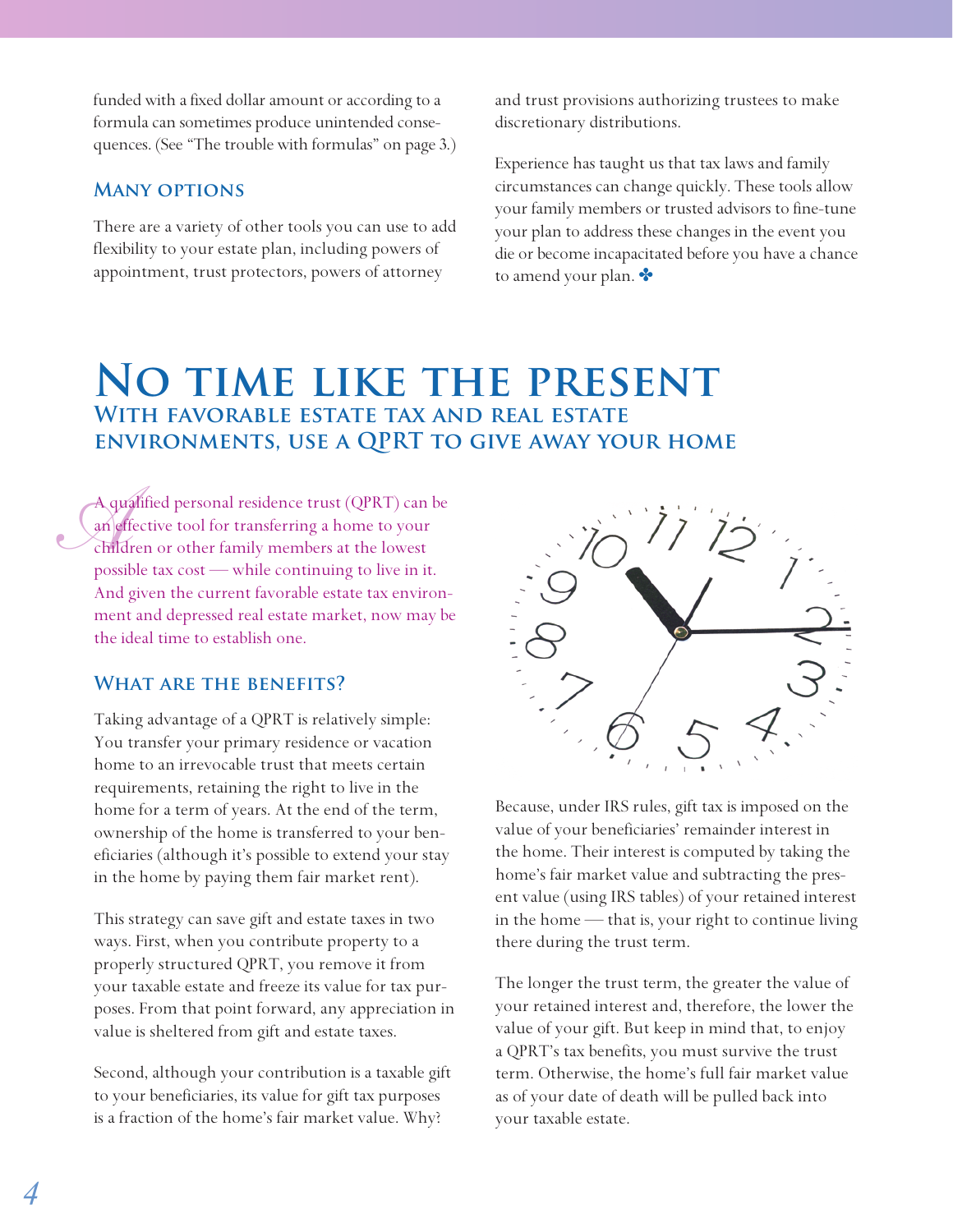funded with a fixed dollar amount or according to a formula can sometimes produce unintended consequences. (See "The trouble with formulas" on page 3.)

#### **Many options**

There are a variety of other tools you can use to add flexibility to your estate plan, including powers of appointment, trust protectors, powers of attorney

and trust provisions authorizing trustees to make discretionary distributions.

Experience has taught us that tax laws and family circumstances can change quickly. These tools allow your family members or trusted advisors to fine-tune your plan to address these changes in the event you die or become incapacitated before you have a chance to amend your plan.  $\bullet$ 

## **No time like the present With favorable estate tax and real estate environments, use a QPRT to give away your home**

A que A qualified personal residence trust (QPRT) can be an effective tool for transferring a home to your children or other family members at the lowest possible tax cost — while continuing to live in it. And given the current favorable estate tax environment and depressed real estate market, now may be the ideal time to establish one.

#### **What are the benefits?**

Taking advantage of a QPRT is relatively simple: You transfer your primary residence or vacation home to an irrevocable trust that meets certain requirements, retaining the right to live in the home for a term of years. At the end of the term, ownership of the home is transferred to your beneficiaries (although it's possible to extend your stay in the home by paying them fair market rent).

This strategy can save gift and estate taxes in two ways. First, when you contribute property to a properly structured QPRT, you remove it from your taxable estate and freeze its value for tax purposes. From that point forward, any appreciation in value is sheltered from gift and estate taxes.

Second, although your contribution is a taxable gift to your beneficiaries, its value for gift tax purposes is a fraction of the home's fair market value. Why?



Because, under IRS rules, gift tax is imposed on the value of your beneficiaries' remainder interest in the home. Their interest is computed by taking the home's fair market value and subtracting the present value (using IRS tables) of your retained interest in the home — that is, your right to continue living there during the trust term.

The longer the trust term, the greater the value of your retained interest and, therefore, the lower the value of your gift. But keep in mind that, to enjoy a QPRT's tax benefits, you must survive the trust term. Otherwise, the home's full fair market value as of your date of death will be pulled back into your taxable estate.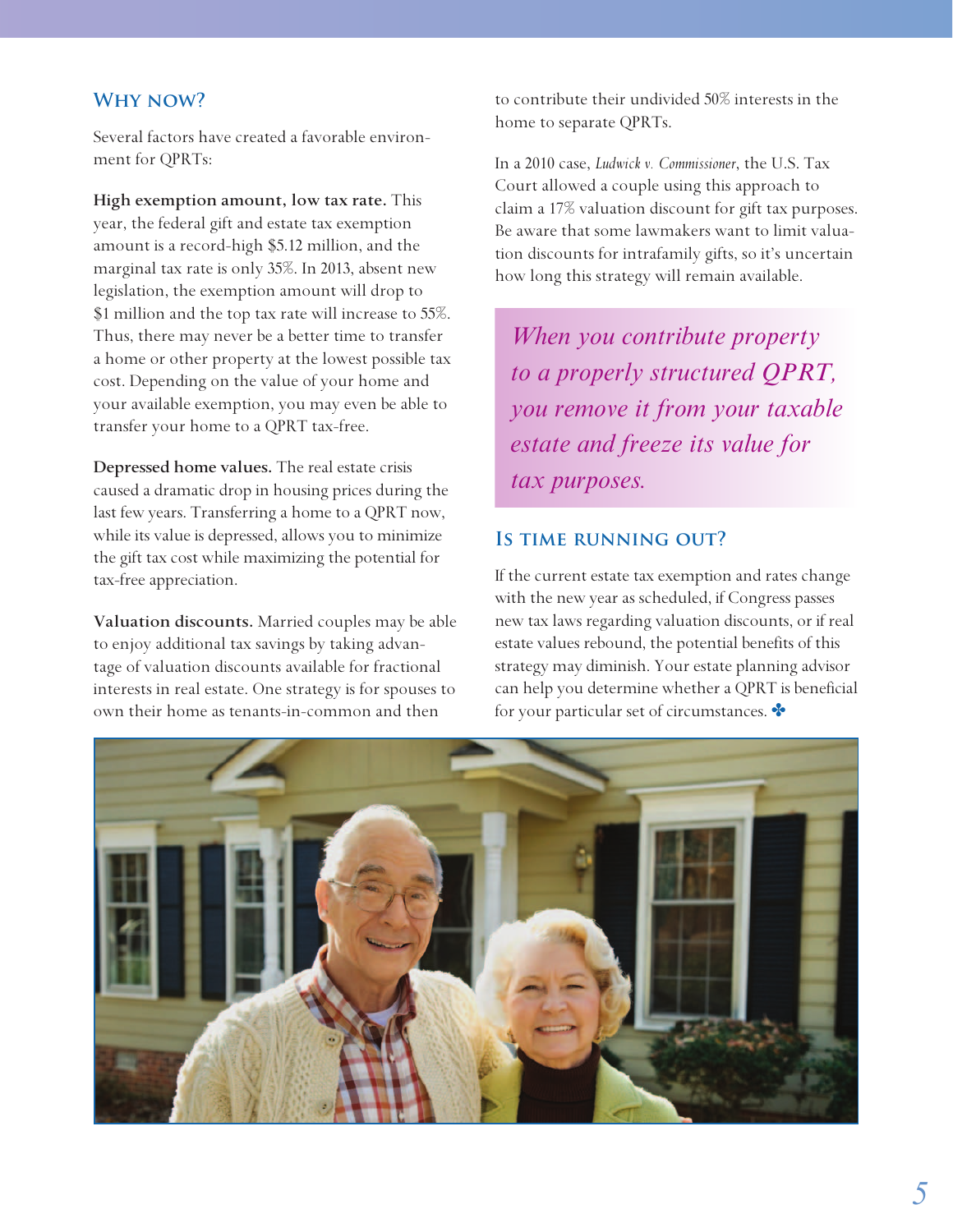#### **Why now?**

Several factors have created a favorable environment for QPRTs:

**High exemption amount, low tax rate.** This year, the federal gift and estate tax exemption amount is a record-high \$5.12 million, and the marginal tax rate is only 35%. In 2013, absent new legislation, the exemption amount will drop to \$1 million and the top tax rate will increase to 55%. Thus, there may never be a better time to transfer a home or other property at the lowest possible tax cost. Depending on the value of your home and your available exemption, you may even be able to transfer your home to a QPRT tax-free.

**Depressed home values.** The real estate crisis caused a dramatic drop in housing prices during the last few years. Transferring a home to a QPRT now, while its value is depressed, allows you to minimize the gift tax cost while maximizing the potential for tax-free appreciation.

**Valuation discounts.** Married couples may be able to enjoy additional tax savings by taking advantage of valuation discounts available for fractional interests in real estate. One strategy is for spouses to own their home as tenants-in-common and then

to contribute their undivided 50% interests in the home to separate QPRTs.

In a 2010 case, *Ludwick v. Commissioner*, the U.S. Tax Court allowed a couple using this approach to claim a 17% valuation discount for gift tax purposes. Be aware that some lawmakers want to limit valuation discounts for intrafamily gifts, so it's uncertain how long this strategy will remain available.

*When you contribute property to a properly structured QPRT, you remove it from your taxable estate and freeze its value for tax purposes.*

#### **Is time running out?**

If the current estate tax exemption and rates change with the new year as scheduled, if Congress passes new tax laws regarding valuation discounts, or if real estate values rebound, the potential benefits of this strategy may diminish. Your estate planning advisor can help you determine whether a QPRT is beneficial for your particular set of circumstances.

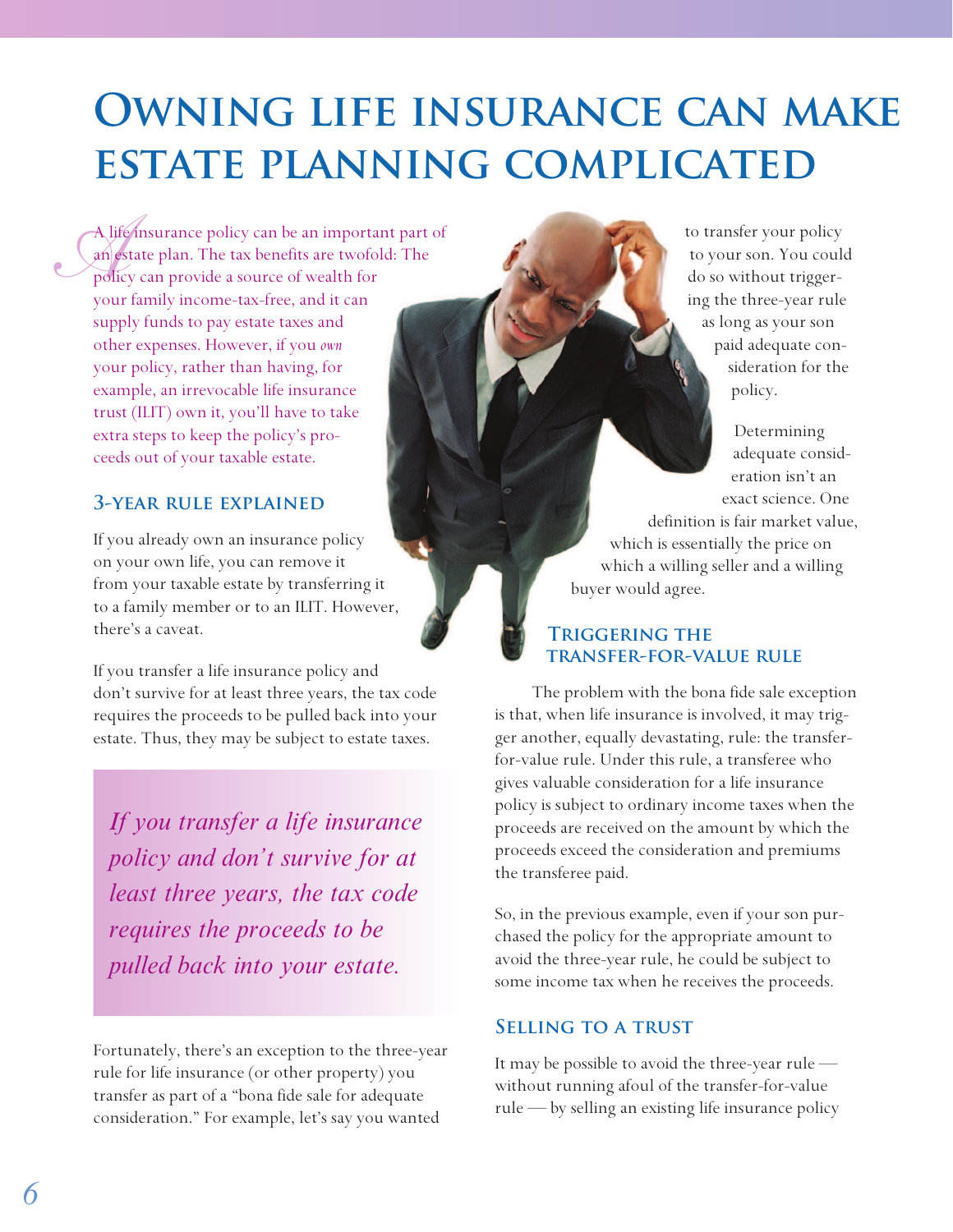# **Owning life insurance can make estate planning complicated**

A life<br>an es<br>polic A life insurance policy can be an important part of an estate plan. The tax benefits are twofold: The policy can provide a source of wealth for your family income-tax-free, and it can supply funds to pay estate taxes and other expenses. However, if you *own* your policy, rather than having, for example, an irrevocable life insurance trust (ILIT) own it, you'll have to take extra steps to keep the policy's proceeds out of your taxable estate.

#### **3-year rule explained**

If you already own an insurance policy on your own life, you can remove it from your taxable estate by transferring it to a family member or to an ILIT. However, there's a caveat.

If you transfer a life insurance policy and don't survive for at least three years, the tax code requires the proceeds to be pulled back into your estate. Thus, they may be subject to estate taxes.

*If you transfer a life insurance policy and don't survive for at least three years, the tax code requires the proceeds to be pulled back into your estate.*

Fortunately, there's an exception to the three-year rule for life insurance (or other property) you transfer as part of a "bona fide sale for adequate consideration." For example, let's say you wanted

to transfer your policy to your son. You could do so without triggering the three-year rule as long as your son paid adequate consideration for the policy.

> Determining adequate consideration isn't an exact science. One

definition is fair market value, which is essentially the price on which a willing seller and a willing buyer would agree.

#### **Triggering the transfer-for-value rule**

The problem with the bona fide sale exception is that, when life insurance is involved, it may trigger another, equally devastating, rule: the transferfor-value rule. Under this rule, a transferee who gives valuable consideration for a life insurance policy is subject to ordinary income taxes when the proceeds are received on the amount by which the proceeds exceed the consideration and premiums the transferee paid.

So, in the previous example, even if your son purchased the policy for the appropriate amount to avoid the three-year rule, he could be subject to some income tax when he receives the proceeds.

#### **Selling to a trust**

It may be possible to avoid the three-year rule without running afoul of the transfer-for-value rule — by selling an existing life insurance policy